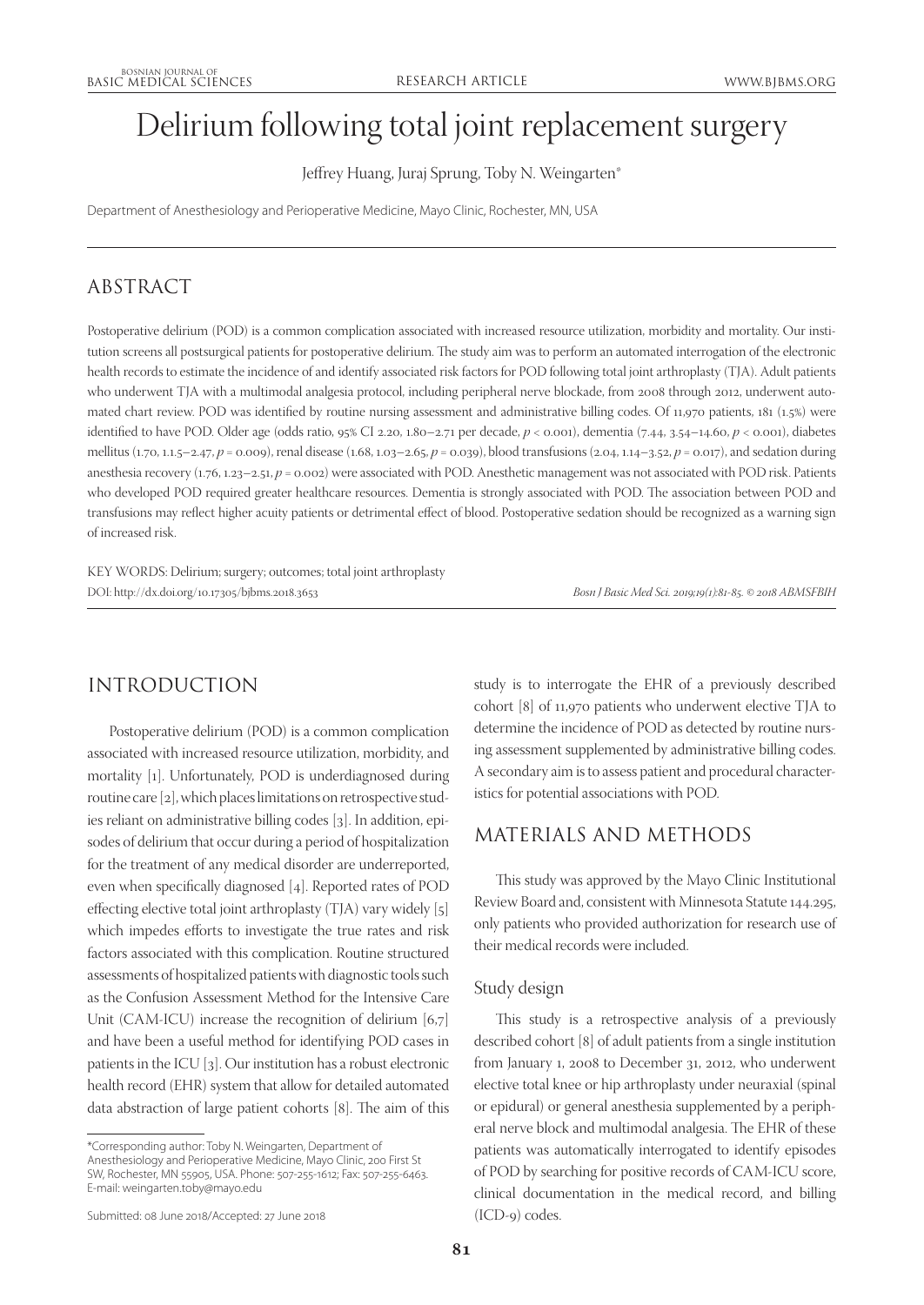# Delirium following total joint replacement surgery

Jeffrey Huang, Juraj Sprung, Toby N. Weingarten\*

Department of Anesthesiology and Perioperative Medicine, Mayo Clinic, Rochester, MN, USA

## ABSTRACT

Postoperative delirium (POD) is a common complication associated with increased resource utilization, morbidity and mortality. Our institution screens all postsurgical patients for postoperative delirium. The study aim was to perform an automated interrogation of the electronic health records to estimate the incidence of and identify associated risk factors for POD following total joint arthroplasty (TJA). Adult patients who underwent TJA with a multimodal analgesia protocol, including peripheral nerve blockade, from 2008 through 2012, underwent automated chart review. POD was identified by routine nursing assessment and administrative billing codes. Of 11,970 patients, 181 (1.5%) were identified to have POD. Older age (odds ratio, 95% CI 2.20, 1.80–2.71 per decade, *p* < 0.001), dementia (7.44, 3.54–14.60, *p* < 0.001), diabetes mellitus (1.70, 1.1.5–2.47, *p* = 0.009), renal disease (1.68, 1.03–2.65, *p* = 0.039), blood transfusions (2.04, 1.14–3.52, *p* = 0.017), and sedation during anesthesia recovery (1.76, 1.23–2.51, *p* = 0.002) were associated with POD. Anesthetic management was not associated with POD risk. Patients who developed POD required greater healthcare resources. Dementia is strongly associated with POD. The association between POD and transfusions may reflect higher acuity patients or detrimental effect of blood. Postoperative sedation should be recognized as a warning sign of increased risk.

KEY WORDS: Delirium; surgery; outcomes; total joint arthroplasty DOI: http://dx.doi.org/10.17305/bjbms.2018.3653 *Bosn J Basic Med Sci. 2019;19(1):81-85. © 2018 ABMSFBIH*

# INTRODUCTION

Postoperative delirium (POD) is a common complication associated with increased resource utilization, morbidity, and mortality [1]. Unfortunately, POD is underdiagnosed during routine care [2], which places limitations on retrospective studies reliant on administrative billing codes [3]. In addition, episodes of delirium that occur during a period of hospitalization for the treatment of any medical disorder are underreported, even when specifically diagnosed [4]. Reported rates of POD effecting elective total joint arthroplasty (TJA) vary widely [5] which impedes efforts to investigate the true rates and risk factors associated with this complication. Routine structured assessments of hospitalized patients with diagnostic tools such as the Confusion Assessment Method for the Intensive Care Unit (CAM-ICU) increase the recognition of delirium [6,7] and have been a useful method for identifying POD cases in patients in the ICU [3]. Our institution has a robust electronic health record (EHR) system that allow for detailed automated data abstraction of large patient cohorts [8]. The aim of this

\*Corresponding author: Toby N. Weingarten, Department of Anesthesiology and Perioperative Medicine, Mayo Clinic, 200 First St SW, Rochester, MN 55905, USA. Phone: 507-255-1612; Fax: 507-255-6463. E-mail: weingarten.toby@mayo.edu

Submitted: 08 June 2018/Accepted: 27 June 2018

study is to interrogate the EHR of a previously described cohort [8] of 11,970 patients who underwent elective TJA to determine the incidence of POD as detected by routine nursing assessment supplemented by administrative billing codes. A secondary aim is to assess patient and procedural characteristics for potential associations with POD.

## MATERIALS AND METHODS

This study was approved by the Mayo Clinic Institutional Review Board and, consistent with Minnesota Statute 144.295, only patients who provided authorization for research use of their medical records were included.

## Study design

This study is a retrospective analysis of a previously described cohort [8] of adult patients from a single institution from January 1, 2008 to December 31, 2012, who underwent elective total knee or hip arthroplasty under neuraxial (spinal or epidural) or general anesthesia supplemented by a peripheral nerve block and multimodal analgesia. The EHR of these patients was automatically interrogated to identify episodes of POD by searching for positive records of CAM-ICU score, clinical documentation in the medical record, and billing (ICD-9) codes.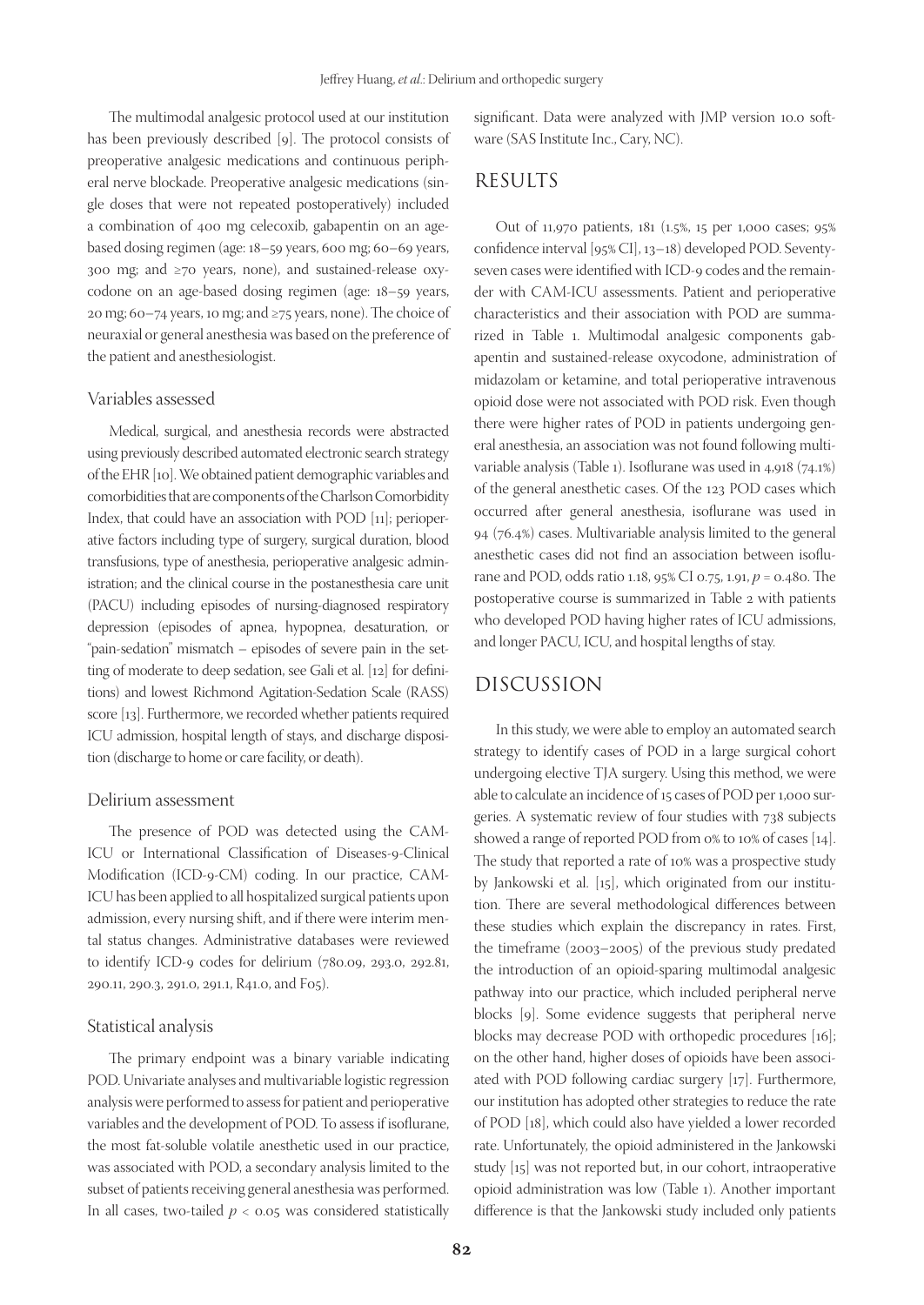The multimodal analgesic protocol used at our institution has been previously described [9]. The protocol consists of preoperative analgesic medications and continuous peripheral nerve blockade. Preoperative analgesic medications (single doses that were not repeated postoperatively) included a combination of 400 mg celecoxib, gabapentin on an agebased dosing regimen (age: 18–59 years, 600 mg; 60–69 years, 300 mg; and ≥70 years, none), and sustained-release oxycodone on an age-based dosing regimen (age: 18–59 years, 20 mg; 60–74 years, 10 mg; and ≥75 years, none). The choice of neuraxial or general anesthesia was based on the preference of the patient and anesthesiologist.

## Variables assessed

Medical, surgical, and anesthesia records were abstracted using previously described automated electronic search strategy of the EHR [10]. We obtained patient demographic variables and comorbidities that are components of the Charlson Comorbidity Index, that could have an association with POD [11]; perioperative factors including type of surgery, surgical duration, blood transfusions, type of anesthesia, perioperative analgesic administration; and the clinical course in the postanesthesia care unit (PACU) including episodes of nursing-diagnosed respiratory depression (episodes of apnea, hypopnea, desaturation, or "pain-sedation" mismatch – episodes of severe pain in the setting of moderate to deep sedation, see Gali et al. [12] for definitions) and lowest Richmond Agitation-Sedation Scale (RASS) score [13]. Furthermore, we recorded whether patients required ICU admission, hospital length of stays, and discharge disposition (discharge to home or care facility, or death).

#### Delirium assessment

The presence of POD was detected using the CAM-ICU or International Classification of Diseases-9-Clinical Modification (ICD-9-CM) coding. In our practice, CAM-ICU has been applied to all hospitalized surgical patients upon admission, every nursing shift, and if there were interim mental status changes. Administrative databases were reviewed to identify ICD-9 codes for delirium (780.09, 293.0, 292.81, 290.11, 290.3, 291.0, 291.1, R41.0, and F05).

#### Statistical analysis

The primary endpoint was a binary variable indicating POD. Univariate analyses and multivariable logistic regression analysis were performed to assess for patient and perioperative variables and the development of POD. To assess if isoflurane, the most fat-soluble volatile anesthetic used in our practice, was associated with POD, a secondary analysis limited to the subset of patients receiving general anesthesia was performed. In all cases, two-tailed  $p < 0.05$  was considered statistically

significant. Data were analyzed with JMP version 10.0 software (SAS Institute Inc., Cary, NC).

## RESULTS

Out of 11,970 patients, 181 (1.5%, 15 per 1,000 cases; 95% confidence interval [95% CI], 13–18) developed POD. Seventyseven cases were identified with ICD-9 codes and the remainder with CAM-ICU assessments. Patient and perioperative characteristics and their association with POD are summarized in Table 1. Multimodal analgesic components gabapentin and sustained-release oxycodone, administration of midazolam or ketamine, and total perioperative intravenous opioid dose were not associated with POD risk. Even though there were higher rates of POD in patients undergoing general anesthesia, an association was not found following multivariable analysis (Table 1). Isoflurane was used in 4,918 (74.1%) of the general anesthetic cases. Of the 123 POD cases which occurred after general anesthesia, isoflurane was used in 94 (76.4%) cases. Multivariable analysis limited to the general anesthetic cases did not find an association between isoflurane and POD, odds ratio 1.18, 95% CI 0.75, 1.91, *p* = 0.480. The postoperative course is summarized in Table 2 with patients who developed POD having higher rates of ICU admissions, and longer PACU, ICU, and hospital lengths of stay.

## DISCUSSION

In this study, we were able to employ an automated search strategy to identify cases of POD in a large surgical cohort undergoing elective TJA surgery. Using this method, we were able to calculate an incidence of 15 cases of POD per 1,000 surgeries. A systematic review of four studies with 738 subjects showed a range of reported POD from 0% to 10% of cases [14]. The study that reported a rate of 10% was a prospective study by Jankowski et al. [15], which originated from our institution. There are several methodological differences between these studies which explain the discrepancy in rates. First, the timeframe (2003–2005) of the previous study predated the introduction of an opioid-sparing multimodal analgesic pathway into our practice, which included peripheral nerve blocks [9]. Some evidence suggests that peripheral nerve blocks may decrease POD with orthopedic procedures [16]; on the other hand, higher doses of opioids have been associated with POD following cardiac surgery [17]. Furthermore, our institution has adopted other strategies to reduce the rate of POD [18], which could also have yielded a lower recorded rate. Unfortunately, the opioid administered in the Jankowski study [15] was not reported but, in our cohort, intraoperative opioid administration was low (Table 1). Another important difference is that the Jankowski study included only patients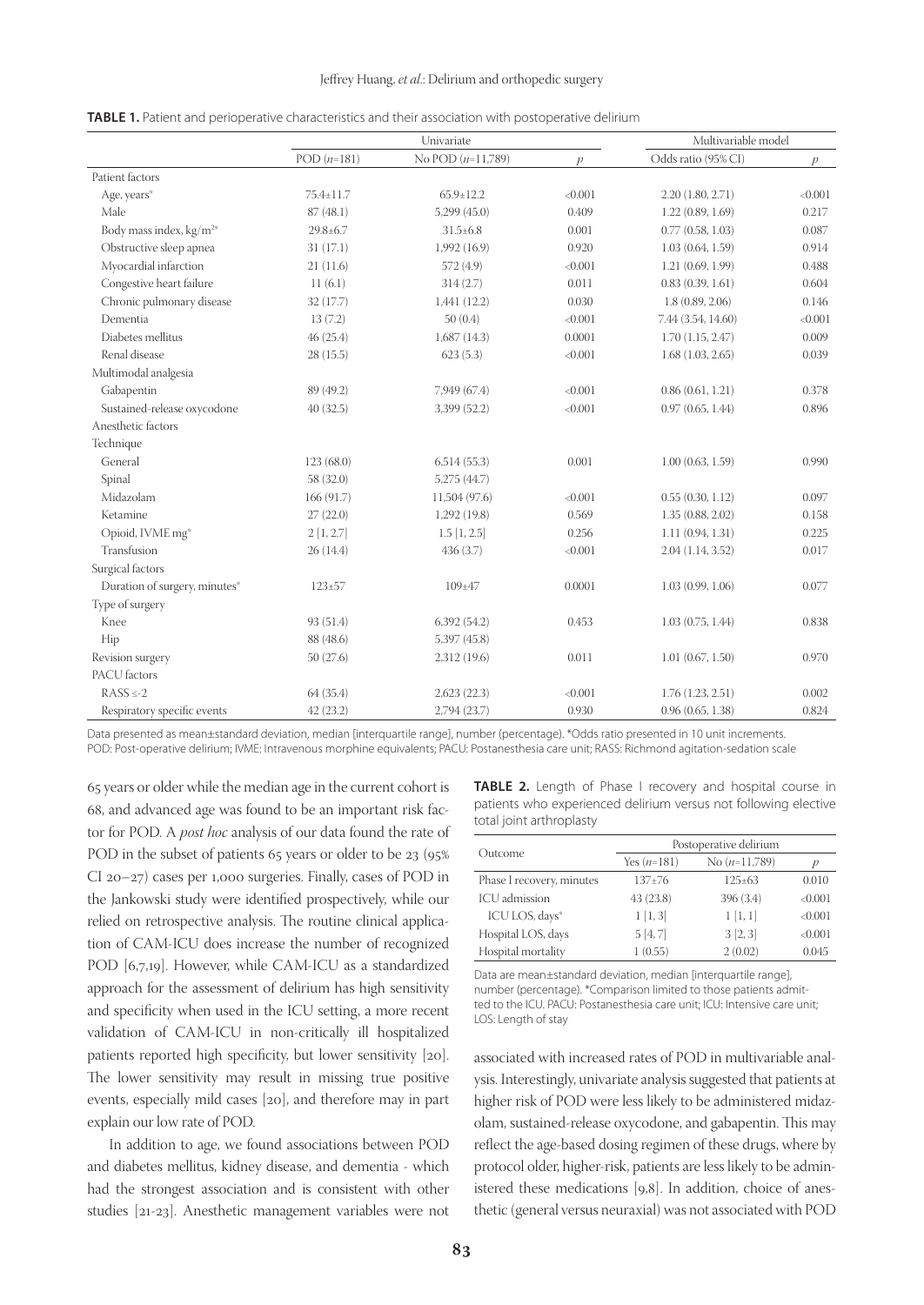|                                     |                | Univariate          |               | Multivariable model |               |
|-------------------------------------|----------------|---------------------|---------------|---------------------|---------------|
|                                     | POD $(n=181)$  | No POD $(n=11,789)$ | $\mathcal{D}$ | Odds ratio (95% CI) | $\mathcal{P}$ |
| Patient factors                     |                |                     |               |                     |               |
| Age, years*                         | 75.4±11.7      | $65.9 \pm 12.2$     | < 0.001       | 2.20(1.80, 2.71)    | < 0.001       |
| Male                                | 87(48.1)       | $5,299$ $(45.0)$    | 0.409         | 1.22(0.89, 1.69)    | 0.217         |
| Body mass index, kg/m <sup>2*</sup> | $29.8 \pm 6.7$ | $31.5 \pm 6.8$      | 0.001         | 0.77(0.58, 1.03)    | 0.087         |
| Obstructive sleep apnea             | 31(17.1)       | 1,992 (16.9)        | 0.920         | 1.03(0.64, 1.59)    | 0.914         |
| Myocardial infarction               | 21(11.6)       | 572 (4.9)           | < 0.001       | 1.21(0.69, 1.99)    | 0.488         |
| Congestive heart failure            | 11(6.1)        | 314(2.7)            | 0.011         | 0.83(0.39, 1.61)    | 0.604         |
| Chronic pulmonary disease           | 32 (17.7)      | 1,441(12.2)         | 0.030         | 1.8(0.89, 2.06)     | 0.146         |
| Dementia                            | 13(7.2)        | 50(0.4)             | < 0.001       | 7.44 (3.54, 14.60)  | < 0.001       |
| Diabetes mellitus                   | 46(25.4)       | $1,687$ (14.3)      | 0.0001        | 1.70(1.15, 2.47)    | 0.009         |
| Renal disease                       | 28(15.5)       | 623(5.3)            | < 0.001       | 1.68(1.03, 2.65)    | 0.039         |
| Multimodal analgesia                |                |                     |               |                     |               |
| Gabapentin                          | 89 (49.2)      | 7,949 (67.4)        | < 0.001       | 0.86(0.61, 1.21)    | 0.378         |
| Sustained-release oxycodone         | 40(32.5)       | 3,399 (52.2)        | < 0.001       | 0.97(0.65, 1.44)    | 0.896         |
| Anesthetic factors                  |                |                     |               |                     |               |
| Technique                           |                |                     |               |                     |               |
| General                             | 123(68.0)      | 6,514(55.3)         | 0.001         | 1.00(0.63, 1.59)    | 0.990         |
| Spinal                              | 58 (32.0)      | 5,275 (44.7)        |               |                     |               |
| Midazolam                           | 166 (91.7)     | 11,504 (97.6)       | < 0.001       | 0.55(0.30, 1.12)    | 0.097         |
| Ketamine                            | 27(22.0)       | 1,292(19.8)         | 0.569         | 1.35(0.88, 2.02)    | 0.158         |
| Opioid, IVME mg*                    | 2[1, 2.7]      | $1.5$ [1, 2.5]      | 0.256         | 1.11(0.94, 1.31)    | 0.225         |
| Transfusion                         | 26(14.4)       | 436 (3.7)           | < 0.001       | 2.04(1.14, 3.52)    | 0.017         |
| Surgical factors                    |                |                     |               |                     |               |
| Duration of surgery, minutes*       | $123 \pm 57$   | 109±47              | 0.0001        | 1.03(0.99, 1.06)    | 0.077         |
| Type of surgery                     |                |                     |               |                     |               |
| Knee                                | 93 (51.4)      | 6,392(54.2)         | 0.453         | 1.03(0.75, 1.44)    | 0.838         |
| Hip                                 | 88 (48.6)      | 5,397 (45.8)        |               |                     |               |
| Revision surgery                    | 50(27.6)       | 2,312 (19.6)        | 0.011         | 1.01(0.67, 1.50)    | 0.970         |
| PACU factors                        |                |                     |               |                     |               |
| $RASS \le -2$                       | 64(35.4)       | 2,623(22.3)         | < 0.001       | 1.76(1.23, 2.51)    | 0.002         |
| Respiratory specific events         | 42(23.2)       | 2,794 (23.7)        | 0.930         | 0.96(0.65, 1.38)    | 0.824         |

**TABLE 1.** Patient and perioperative characteristics and their association with postoperative delirium

Data presented as mean±standard deviation, median [interquartile range], number (percentage). \*Odds ratio presented in 10 unit increments. POD: Post-operative delirium; IVME: Intravenous morphine equivalents; PACU: Postanesthesia care unit; RASS: Richmond agitation-sedation scale

65 years or older while the median age in the current cohort is 68, and advanced age was found to be an important risk factor for POD. A *post hoc* analysis of our data found the rate of POD in the subset of patients 65 years or older to be 23 (95%) CI 20–27) cases per 1,000 surgeries. Finally, cases of POD in the Jankowski study were identified prospectively, while our relied on retrospective analysis. The routine clinical application of CAM-ICU does increase the number of recognized POD [6,7,19]. However, while CAM-ICU as a standardized approach for the assessment of delirium has high sensitivity and specificity when used in the ICU setting, a more recent validation of CAM-ICU in non-critically ill hospitalized patients reported high specificity, but lower sensitivity [20]. The lower sensitivity may result in missing true positive events, especially mild cases [20], and therefore may in part explain our low rate of POD.

In addition to age, we found associations between POD and diabetes mellitus, kidney disease, and dementia - which had the strongest association and is consistent with other studies [21-23]. Anesthetic management variables were not

**TABLE 2.** Length of Phase I recovery and hospital course in patients who experienced delirium versus not following elective total joint arthroplasty

|                           | Postoperative delirium |                 |         |
|---------------------------|------------------------|-----------------|---------|
| Outcome                   | Yes $(n=181)$          | No $(n=11,789)$ |         |
| Phase I recovery, minutes | $137 + 76$             | $125 \pm 63$    | 0.010   |
| ICU admission             | 43 (23.8)              | 396 (3.4)       | < 0.001 |
| ICU LOS, days*            | 1[1,3]                 | 1[1,1]          | < 0.001 |
| Hospital LOS, days        | 5[4, 7]                | 3[2,3]          | < 0.001 |
| Hospital mortality        | 1(0.55)                | 2(0.02)         | 0.045   |

Data are mean±standard deviation, median [interquartile range], number (percentage). \*Comparison limited to those patients admitted to the ICU. PACU: Postanesthesia care unit; ICU: Intensive care unit; LOS: Length of stay

associated with increased rates of POD in multivariable analysis. Interestingly, univariate analysis suggested that patients at higher risk of POD were less likely to be administered midazolam, sustained-release oxycodone, and gabapentin. This may reflect the age-based dosing regimen of these drugs, where by protocol older, higher-risk, patients are less likely to be administered these medications [9,8]. In addition, choice of anesthetic (general versus neuraxial) was not associated with POD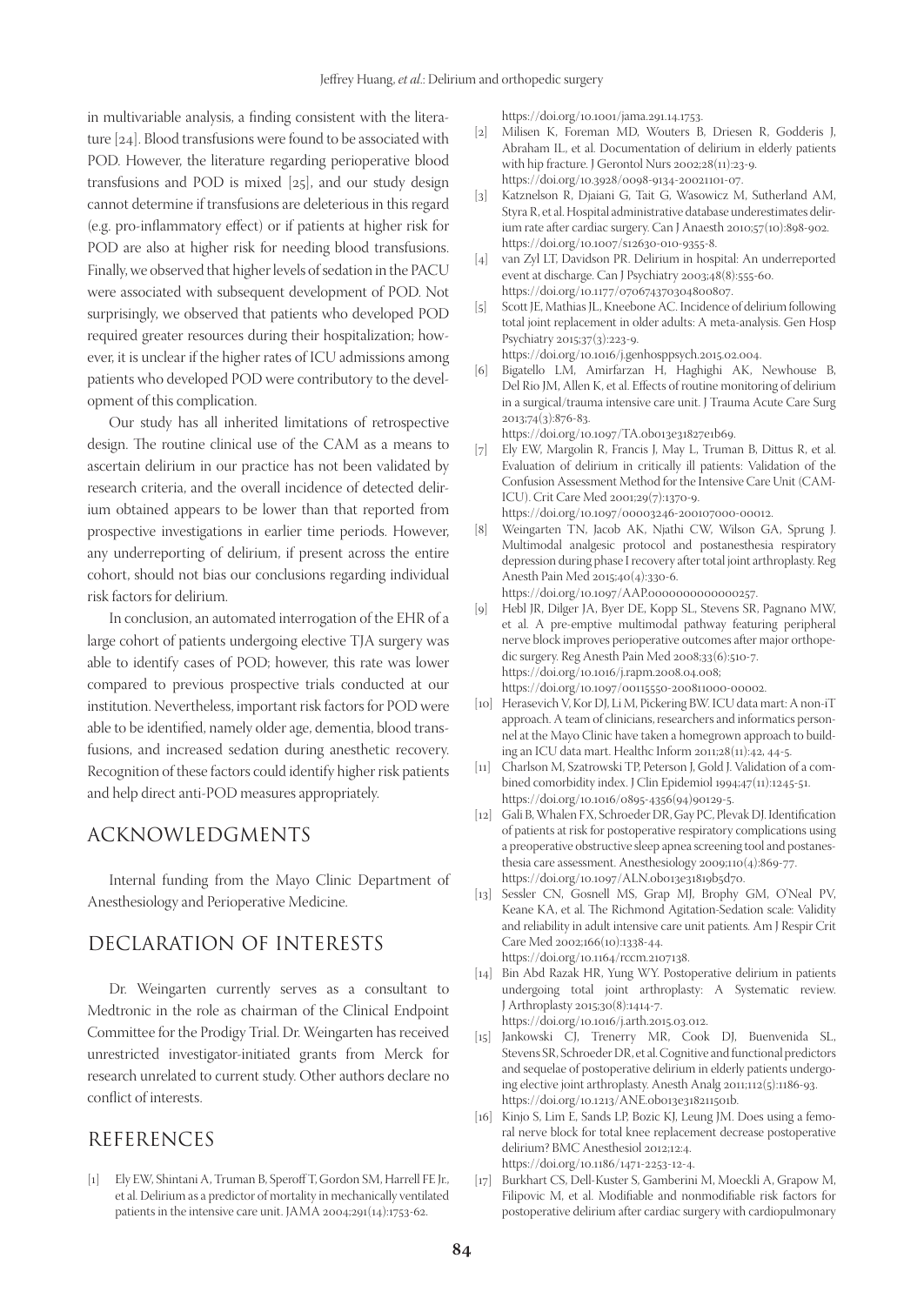in multivariable analysis, a finding consistent with the literature [24]. Blood transfusions were found to be associated with POD. However, the literature regarding perioperative blood transfusions and POD is mixed [25], and our study design cannot determine if transfusions are deleterious in this regard (e.g. pro-inflammatory effect) or if patients at higher risk for POD are also at higher risk for needing blood transfusions. Finally, we observed that higher levels of sedation in the PACU were associated with subsequent development of POD. Not surprisingly, we observed that patients who developed POD required greater resources during their hospitalization; however, it is unclear if the higher rates of ICU admissions among patients who developed POD were contributory to the development of this complication.

Our study has all inherited limitations of retrospective design. The routine clinical use of the CAM as a means to ascertain delirium in our practice has not been validated by research criteria, and the overall incidence of detected delirium obtained appears to be lower than that reported from prospective investigations in earlier time periods. However, any underreporting of delirium, if present across the entire cohort, should not bias our conclusions regarding individual risk factors for delirium.

In conclusion, an automated interrogation of the EHR of a large cohort of patients undergoing elective TJA surgery was able to identify cases of POD; however, this rate was lower compared to previous prospective trials conducted at our institution. Nevertheless, important risk factors for POD were able to be identified, namely older age, dementia, blood transfusions, and increased sedation during anesthetic recovery. Recognition of these factors could identify higher risk patients and help direct anti-POD measures appropriately.

### ACKNOWLEDGMENTS

Internal funding from the Mayo Clinic Department of Anesthesiology and Perioperative Medicine.

## DECLARATION OF INTERESTS

Dr. Weingarten currently serves as a consultant to Medtronic in the role as chairman of the Clinical Endpoint Committee for the Prodigy Trial. Dr. Weingarten has received unrestricted investigator-initiated grants from Merck for research unrelated to current study. Other authors declare no conflict of interests.

## REFERENCES

[1] Ely EW, Shintani A, Truman B, Speroff T, Gordon SM, Harrell FE Jr., et al. Delirium as a predictor of mortality in mechanically ventilated patients in the intensive care unit. JAMA 2004;291(14):1753-62.

https://doi.org/10.1001/jama.291.14.1753.

- [2] Milisen K, Foreman MD, Wouters B, Driesen R, Godderis J, Abraham IL, et al. Documentation of delirium in elderly patients with hip fracture. J Gerontol Nurs 2002;28(11):23-9. https://doi.org/10.3928/0098-9134-20021101-07.
- [3] Katznelson R, Djaiani G, Tait G, Wasowicz M, Sutherland AM, Styra R, et al. Hospital administrative database underestimates delirium rate after cardiac surgery. Can J Anaesth 2010;57(10):898-902. https://doi.org/10.1007/s12630-010-9355-8.
- [4] van Zyl LT, Davidson PR. Delirium in hospital: An underreported event at discharge. Can J Psychiatry 2003;48(8):555-60. https://doi.org/10.1177/070674370304800807.
- [5] Scott JE, Mathias JL, Kneebone AC. Incidence of delirium following total joint replacement in older adults: A meta-analysis. Gen Hosp Psychiatry 2015;37(3):223-9.

https://doi.org/10.1016/j.genhosppsych.2015.02.004.

[6] Bigatello LM, Amirfarzan H, Haghighi AK, Newhouse B, Del Rio JM, Allen K, et al. Effects of routine monitoring of delirium in a surgical/trauma intensive care unit. J Trauma Acute Care Surg 2013;74(3):876-83.

https://doi.org/10.1097/TA.0b013e31827e1b69.

- [7] Ely EW, Margolin R, Francis J, May L, Truman B, Dittus R, et al. Evaluation of delirium in critically ill patients: Validation of the Confusion Assessment Method for the Intensive Care Unit (CAM-ICU). Crit Care Med 2001;29(7):1370-9. https://doi.org/10.1097/00003246-200107000-00012.
- [8] Weingarten TN, Jacob AK, Njathi CW, Wilson GA, Sprung J. Multimodal analgesic protocol and postanesthesia respiratory depression during phase I recovery after total joint arthroplasty. Reg Anesth Pain Med 2015;40(4):330-6.

https://doi.org/10.1097/AAP.0000000000000257.

- [9] Hebl JR, Dilger JA, Byer DE, Kopp SL, Stevens SR, Pagnano MW, et al. A pre-emptive multimodal pathway featuring peripheral nerve block improves perioperative outcomes after major orthopedic surgery. Reg Anesth Pain Med 2008;33(6):510-7. https://doi.org/10.1016/j.rapm.2008.04.008; https://doi.org/10.1097/00115550-200811000-00002.
- [10] Herasevich V, Kor DJ, Li M, Pickering BW. ICU data mart: A non-iT approach. A team of clinicians, researchers and informatics personnel at the Mayo Clinic have taken a homegrown approach to building an ICU data mart. Healthc Inform 2011;28(11):42, 44-5.
- [11] Charlson M, Szatrowski TP, Peterson J, Gold J. Validation of a combined comorbidity index. J Clin Epidemiol 1994;47(11):1245-51. https://doi.org/10.1016/0895-4356(94)90129-5.
- [12] Gali B, Whalen FX, Schroeder DR, Gay PC, Plevak DJ. Identification of patients at risk for postoperative respiratory complications using a preoperative obstructive sleep apnea screening tool and postanesthesia care assessment. Anesthesiology 2009;110(4):869-77. https://doi.org/10.1097/ALN.0b013e31819b5d70.
- [13] Sessler CN, Gosnell MS, Grap MJ, Brophy GM, O'Neal PV, Keane KA, et al. The Richmond Agitation-Sedation scale: Validity and reliability in adult intensive care unit patients. Am J Respir Crit Care Med 2002;166(10):1338-44. https://doi.org/10.1164/rccm.2107138.
- [14] Bin Abd Razak HR, Yung WY. Postoperative delirium in patients undergoing total joint arthroplasty: A Systematic review. J Arthroplasty 2015;30(8):1414-7. https://doi.org/10.1016/j.arth.2015.03.012.
- [15] Jankowski CJ, Trenerry MR, Cook DJ, Buenvenida SL, Stevens SR, Schroeder DR, et al. Cognitive and functional predictors and sequelae of postoperative delirium in elderly patients undergoing elective joint arthroplasty. Anesth Analg 2011;112(5):1186-93. https://doi.org/10.1213/ANE.0b013e318211501b.
- [16] Kinjo S, Lim E, Sands LP, Bozic KJ, Leung JM. Does using a femoral nerve block for total knee replacement decrease postoperative delirium? BMC Anesthesiol 2012;12:4. https://doi.org/10.1186/1471-2253-12-4.
- [17] Burkhart CS, Dell-Kuster S, Gamberini M, Moeckli A, Grapow M, Filipovic M, et al. Modifiable and nonmodifiable risk factors for postoperative delirium after cardiac surgery with cardiopulmonary